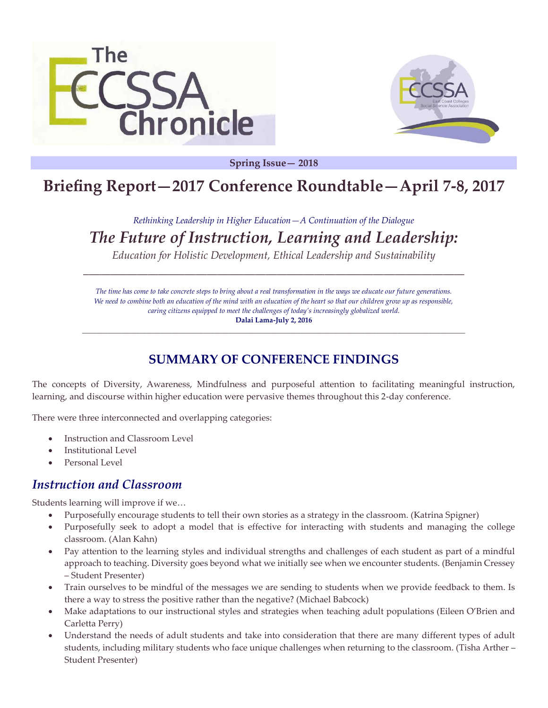



**Spring Issue— 2018**

# **Briefing Report—2017 Conference Roundtable—April 7-8, 2017**

# *Rethinking Leadership in Higher Education—A Continuation of the Dialogue*

*The Future of Instruction, Learning and Leadership:*

*Education for Holistic Development, Ethical Leadership and Sustainability* \_\_\_\_\_\_\_\_\_\_\_\_\_\_\_\_\_\_\_\_\_\_\_\_\_\_\_\_\_\_\_\_\_\_\_\_\_\_\_\_\_\_\_\_\_\_\_\_\_\_\_\_\_\_\_\_\_\_\_\_\_\_\_\_\_\_\_\_\_\_\_

*The time has come to take concrete steps to bring about a real transformation in the ways we educate our future generations. We need to combine both an education of the mind with an education of the heart so that our children grow up as responsible, caring citizens equipped to meet the challenges of today's increasingly globalized world.* **Dalai Lama-July 2, 2016**

**\_\_\_\_\_\_\_\_\_\_\_\_\_\_\_\_\_\_\_\_\_\_\_\_\_\_\_\_\_\_\_\_\_\_\_\_\_\_\_\_\_\_\_\_\_\_\_\_\_\_\_\_\_\_\_\_\_\_\_\_\_\_\_\_\_\_\_\_\_\_\_\_\_\_\_\_\_\_\_\_\_\_\_\_\_\_\_\_\_\_\_\_\_\_\_\_\_\_\_\_\_\_\_\_\_\_\_**

# **SUMMARY OF CONFERENCE FINDINGS**

The concepts of Diversity, Awareness, Mindfulness and purposeful attention to facilitating meaningful instruction, learning, and discourse within higher education were pervasive themes throughout this 2-day conference.

There were three interconnected and overlapping categories:

- Instruction and Classroom Level
- Institutional Level
- Personal Level

#### *Instruction and Classroom*

Students learning will improve if we…

- Purposefully encourage students to tell their own stories as a strategy in the classroom. (Katrina Spigner)
- Purposefully seek to adopt a model that is effective for interacting with students and managing the college classroom. (Alan Kahn)
- Pay attention to the learning styles and individual strengths and challenges of each student as part of a mindful approach to teaching. Diversity goes beyond what we initially see when we encounter students. (Benjamin Cressey – Student Presenter)
- Train ourselves to be mindful of the messages we are sending to students when we provide feedback to them. Is there a way to stress the positive rather than the negative? (Michael Babcock)
- Make adaptations to our instructional styles and strategies when teaching adult populations (Eileen O'Brien and Carletta Perry)
- Understand the needs of adult students and take into consideration that there are many different types of adult students, including military students who face unique challenges when returning to the classroom. (Tisha Arther – Student Presenter)